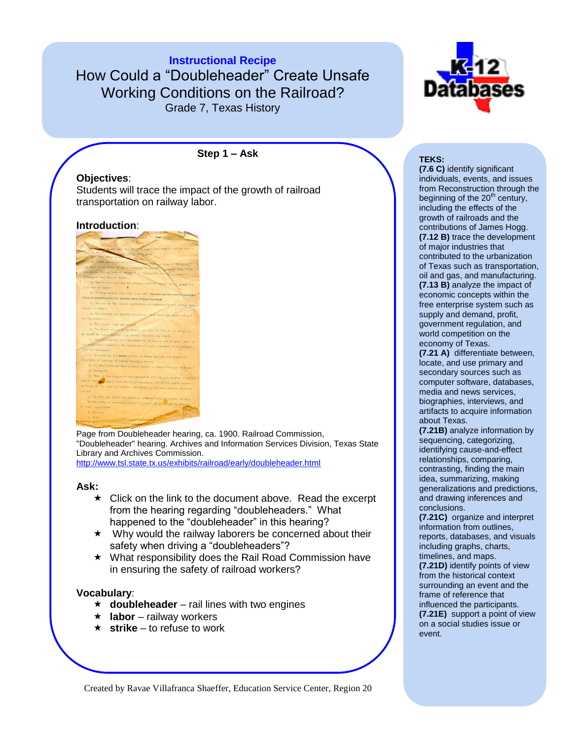**Instructional Recipe** How Could a "Doubleheader" Create Unsafe Working Conditions on the Railroad? Grade 7, Texas History



#### **Step 1 – Ask**

## **Objectives**:

Students will trace the impact of the growth of railroad transportation on railway labor.

#### **Introduction**:



Page from Doubleheader hearing, ca. 1900. Railroad Commission, "Doubleheader" hearing. Archives and Information Services Division, Texas State Library and Archives Commission. <http://www.tsl.state.tx.us/exhibits/railroad/early/doubleheader.html>

#### **Ask:**

- $\star$  Click on the link to the document above. Read the excerpt from the hearing regarding "doubleheaders." What happened to the "doubleheader" in this hearing?
- $\star$  Why would the railway laborers be concerned about their safety when driving a "doubleheaders"?
- What responsibility does the Rail Road Commission have in ensuring the safety of railroad workers?

### **Vocabulary**:

- $\star$  **doubleheader** rail lines with two engines
- $\star$  **labor** railway workers
- **★ strike** to refuse to work

**TEKS:** 

**(7.6 C)** identify significant individuals, events, and issues from Reconstruction through the beginning of the 20<sup>th</sup> century, including the effects of the growth of railroads and the contributions of James Hogg. **(7.12 B)** trace the development of major industries that contributed to the urbanization of Texas such as transportation, oil and gas, and manufacturing. **(7.13 B)** analyze the impact of economic concepts within the free enterprise system such as supply and demand, profit, government regulation, and world competition on the economy of Texas.

**(7.21 A)** differentiate between, locate, and use primary and secondary sources such as computer software, databases, media and news services, biographies, interviews, and artifacts to acquire information about Texas.

**(7.21B)** analyze information by sequencing, categorizing, identifying cause-and-effect relationships, comparing, contrasting, finding the main idea, summarizing, making generalizations and predictions, and drawing inferences and conclusions.

**(7.21C)** organize and interpret information from outlines, reports, databases, and visuals including graphs, charts, timelines, and maps.

**(7.21D)** identify points of view from the historical context surrounding an event and the frame of reference that influenced the participants. **(7.21E)** support a point of view on a social studies issue or event.

Created by Ravae Villafranca Shaeffer, Education Service Center, Region 20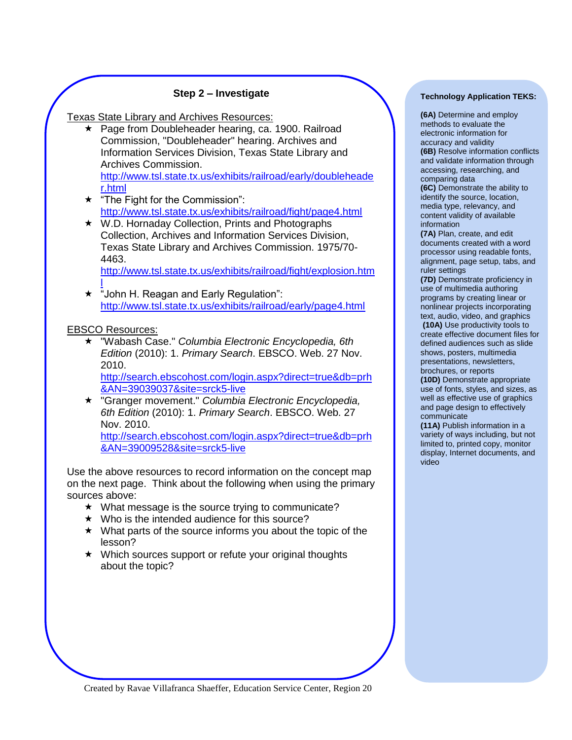## **Step 2 – Investigate**

Texas State Library and Archives Resources:

★ Page from Doubleheader hearing, ca. 1900. Railroad Commission, "Doubleheader" hearing. Archives and Information Services Division, Texas State Library and Archives Commission.

[http://www.tsl.state.tx.us/exhibits/railroad/early/doubleheade](http://www.tsl.state.tx.us/exhibits/railroad/early/doubleheader.html) [r.html](http://www.tsl.state.tx.us/exhibits/railroad/early/doubleheader.html)

- $\star$  "The Fight for the Commission": <http://www.tsl.state.tx.us/exhibits/railroad/fight/page4.html>
- ★ W.D. Hornaday Collection, Prints and Photographs Collection, Archives and Information Services Division, Texas State Library and Archives Commission. 1975/70- 4463.

[http://www.tsl.state.tx.us/exhibits/railroad/fight/explosion.htm](http://www.tsl.state.tx.us/exhibits/railroad/fight/explosion.html) [l](http://www.tsl.state.tx.us/exhibits/railroad/fight/explosion.html)

★ "John H. Reagan and Early Regulation": <http://www.tsl.state.tx.us/exhibits/railroad/early/page4.html>

EBSCO Resources:

 "Wabash Case." *Columbia Electronic Encyclopedia, 6th Edition* (2010): 1. *Primary Search*. EBSCO. Web. 27 Nov. 2010.

[http://search.ebscohost.com/login.aspx?direct=true&db=prh](http://search.ebscohost.com/login.aspx?direct=true&db=prh&AN=39039037&site=srck5-live) [&AN=39039037&site=srck5-live](http://search.ebscohost.com/login.aspx?direct=true&db=prh&AN=39039037&site=srck5-live)

 "Granger movement." *Columbia Electronic Encyclopedia, 6th Edition* (2010): 1. *Primary Search*. EBSCO. Web. 27 Nov. 2010.

[http://search.ebscohost.com/login.aspx?direct=true&db=prh](http://search.ebscohost.com/login.aspx?direct=true&db=prh&AN=39009528&site=srck5-live) [&AN=39009528&site=srck5-live](http://search.ebscohost.com/login.aspx?direct=true&db=prh&AN=39009528&site=srck5-live)

Use the above resources to record information on the concept map on the next page. Think about the following when using the primary sources above:

- $\star$  What message is the source trying to communicate?
- $\star$  Who is the intended audience for this source?
- $\star$  What parts of the source informs you about the topic of the lesson?
- ★ Which sources support or refute your original thoughts about the topic?

#### **Technology Application TEKS:**

**(6A)** Determine and employ methods to evaluate the electronic information for accuracy and validity **(6B)** Resolve information conflicts and validate information through accessing, researching, and comparing data

**(6C)** Demonstrate the ability to identify the source, location, media type, relevancy, and content validity of available information

**(7A)** Plan, create, and edit documents created with a word processor using readable fonts, alignment, page setup, tabs, and ruler settings

**(7D)** Demonstrate proficiency in use of multimedia authoring programs by creating linear or nonlinear projects incorporating text, audio, video, and graphics **(10A)** Use productivity tools to create effective document files for defined audiences such as slide shows, posters, multimedia

presentations, newsletters, brochures, or reports

**(10D)** Demonstrate appropriate use of fonts, styles, and sizes, as well as effective use of graphics and page design to effectively communicate

**(11A)** Publish information in a variety of ways including, but not limited to, printed copy, monitor display, Internet documents, and video

Created by Ravae Villafranca Shaeffer, Education Service Center, Region 20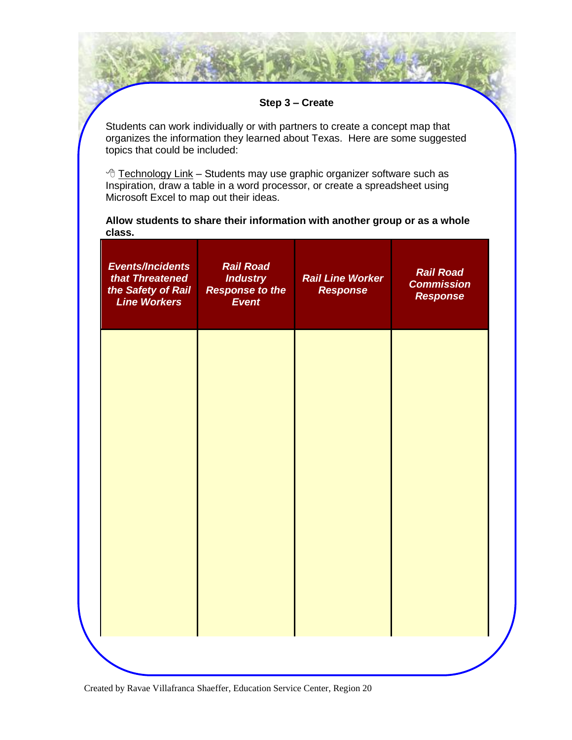## **Step 3 – Create**

Students can work individually or with partners to create a concept map that organizes the information they learned about Texas. Here are some suggested topics that could be included:

 $\sqrt{2}$  Technology Link – Students may use graphic organizer software such as Inspiration, draw a table in a word processor, or create a spreadsheet using Microsoft Excel to map out their ideas.

**Allow students to share their information with another group or as a whole class.**

| <b>Events/Incidents</b><br>that Threatened<br>the Safety of Rail<br><b>Line Workers</b> | <b>Rail Road</b><br><b>Industry</b><br><b>Response to the</b><br><b>Event</b> | <b>Rail Line Worker</b><br><b>Response</b> | <b>Rail Road</b><br><b>Commission</b><br><b>Response</b> |
|-----------------------------------------------------------------------------------------|-------------------------------------------------------------------------------|--------------------------------------------|----------------------------------------------------------|
|                                                                                         |                                                                               |                                            |                                                          |
|                                                                                         |                                                                               |                                            |                                                          |
|                                                                                         |                                                                               |                                            |                                                          |
|                                                                                         |                                                                               |                                            |                                                          |

Created by Ravae Villafranca Shaeffer, Education Service Center, Region 20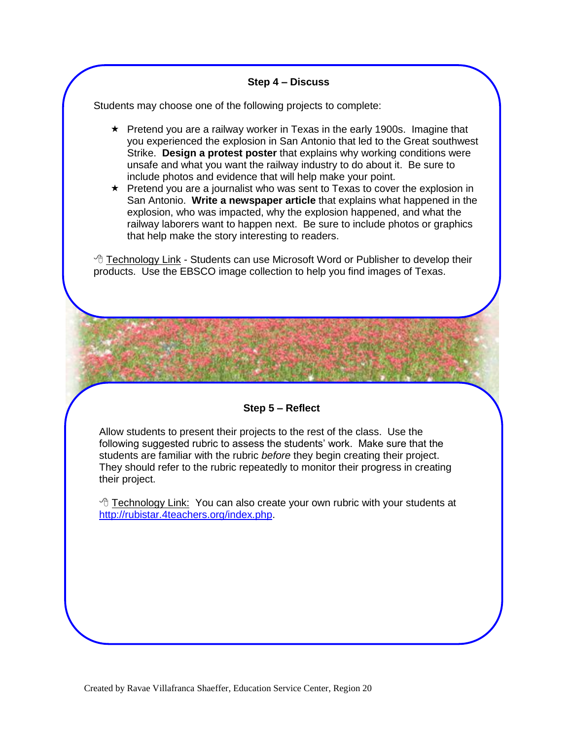## **Step 4 – Discuss**

Students may choose one of the following projects to complete:

- $\star$  Pretend you are a railway worker in Texas in the early 1900s. Imagine that you experienced the explosion in San Antonio that led to the Great southwest Strike. **Design a protest poster** that explains why working conditions were unsafe and what you want the railway industry to do about it. Be sure to include photos and evidence that will help make your point.
- $\star$  Pretend you are a journalist who was sent to Texas to cover the explosion in San Antonio. **Write a newspaper article** that explains what happened in the explosion, who was impacted, why the explosion happened, and what the railway laborers want to happen next. Be sure to include photos or graphics that help make the story interesting to readers.

 $\sqrt{\overline{C}}$  Technology Link - Students can use Microsoft Word or Publisher to develop their products. Use the EBSCO image collection to help you find images of Texas.

## **Step 5 – Reflect**

Allow students to present their projects to the rest of the class. Use the following suggested rubric to assess the students' work. Make sure that the students are familiar with the rubric *before* they begin creating their project. They should refer to the rubric repeatedly to monitor their progress in creating their project.

 Technology Link: You can also create your own rubric with your students at [http://rubistar.4teachers.org/index.php.](http://rubistar.4teachers.org/index.php)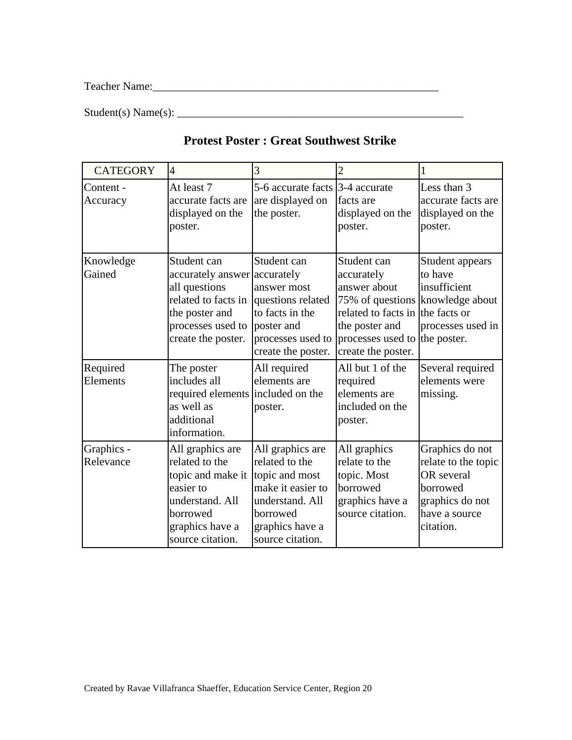Teacher Name:\_\_\_\_\_\_\_\_\_\_\_\_\_\_\_\_\_\_\_\_\_\_\_\_\_\_\_\_\_\_\_\_\_\_\_\_\_\_\_\_\_\_\_\_\_\_\_\_\_\_\_

 $Student(s) Name(s):$ 

| <b>CATEGORY</b>         | $\overline{4}$                                                                                                                                   | 3                                                                                                                                               | $\overline{2}$                                                                                                                                         | 1                                                                                                                 |
|-------------------------|--------------------------------------------------------------------------------------------------------------------------------------------------|-------------------------------------------------------------------------------------------------------------------------------------------------|--------------------------------------------------------------------------------------------------------------------------------------------------------|-------------------------------------------------------------------------------------------------------------------|
| Content -<br>Accuracy   | At least 7<br>accurate facts are<br>displayed on the<br>poster.                                                                                  | 5-6 accurate facts 3-4 accurate<br>are displayed on<br>the poster.                                                                              | facts are<br>displayed on the<br>poster.                                                                                                               | Less than 3<br>accurate facts are<br>displayed on the<br>poster.                                                  |
| Knowledge<br>Gained     | Student can<br>accurately answer accurately<br>all questions<br>related to facts in<br>the poster and<br>processes used to<br>create the poster. | Student can<br>answer most<br>questions related<br>to facts in the<br>poster and<br>processes used to<br>create the poster.                     | Student can<br>accurately<br>answer about<br>related to facts in the facts or<br>the poster and<br>processes used to the poster.<br>create the poster. | Student appears<br>to have<br>insufficient<br>75% of questions knowledge about<br>processes used in               |
| Required<br>Elements    | The poster<br>includes all<br>required elements included on the<br>as well as<br>additional<br>information.                                      | All required<br>elements are<br>poster.                                                                                                         | All but 1 of the<br>required<br>elements are<br>included on the<br>poster.                                                                             | Several required<br>elements were<br>missing.                                                                     |
| Graphics -<br>Relevance | All graphics are<br>related to the<br>topic and make it<br>easier to<br>understand. All<br>borrowed<br>graphics have a<br>source citation.       | All graphics are<br>related to the<br>topic and most<br>make it easier to<br>understand. All<br>borrowed<br>graphics have a<br>source citation. | All graphics<br>relate to the<br>topic. Most<br>borrowed<br>graphics have a<br>source citation.                                                        | Graphics do not<br>relate to the topic<br>OR several<br>borrowed<br>graphics do not<br>have a source<br>citation. |

# **Protest Poster : Great Southwest Strike**